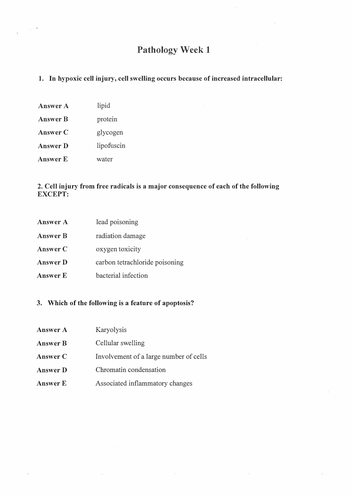# Pathology Week 1

## 1. In hypoxic cell injury, cell swelling occurs because of increased intracellular:

Answer A lipid Answer B protein Answer C glycogen Answer D lipofuscin Answer E water

### 2. Cell injury from free radicals is a major consequence of each of the following EXCEPT:

| <b>Answer A</b> | lead poisoning                 |
|-----------------|--------------------------------|
| <b>Answer B</b> | radiation damage               |
| Answer C        | oxygen toxicity                |
| <b>Answer D</b> | carbon tetrachloride poisoning |
| <b>Answer E</b> | bacterial infection            |

#### 3. Which of the following is a feature of apoptosis?

| <b>Answer A</b> | Karyolysis                             |
|-----------------|----------------------------------------|
| <b>Answer B</b> | Cellular swelling                      |
| Answer C        | Involvement of a large number of cells |
| <b>Answer D</b> | Chromatin condensation                 |
| <b>Answer E</b> | Associated inflammatory changes        |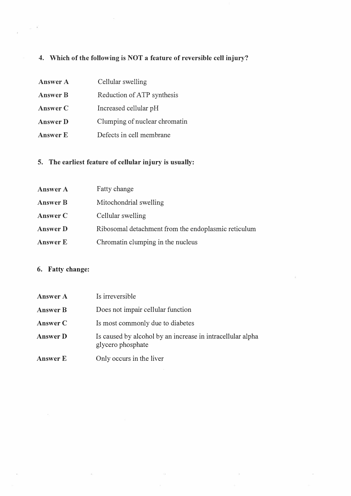## 4. Which of the following is NOT a feature of reversible cell injury?

Answer A Answer B AnswerC AnswerD Answer E Cellular swelling Reduction of ATP synthesis Increased cellular pH Clumping of nuclear chromatin Defects in cell membrane

## 5. The earliest feature of cellular injury is usually:

| <b>Answer A</b> | Fatty change                                        |
|-----------------|-----------------------------------------------------|
| <b>Answer B</b> | Mitochondrial swelling                              |
| <b>Answer C</b> | Cellular swelling                                   |
| <b>Answer D</b> | Ribosomal detachment from the endoplasmic reticulum |
| <b>Answer E</b> | Chromatin clumping in the nucleus                   |

## 6. Fatty change:

| <b>Answer A</b> | Is irreversible                                                                 |
|-----------------|---------------------------------------------------------------------------------|
| <b>Answer B</b> | Does not impair cellular function                                               |
| <b>Answer C</b> | Is most commonly due to diabetes                                                |
| <b>Answer D</b> | Is caused by alcohol by an increase in intracellular alpha<br>glycero phosphate |
| <b>Answer E</b> | Only occurs in the liver                                                        |